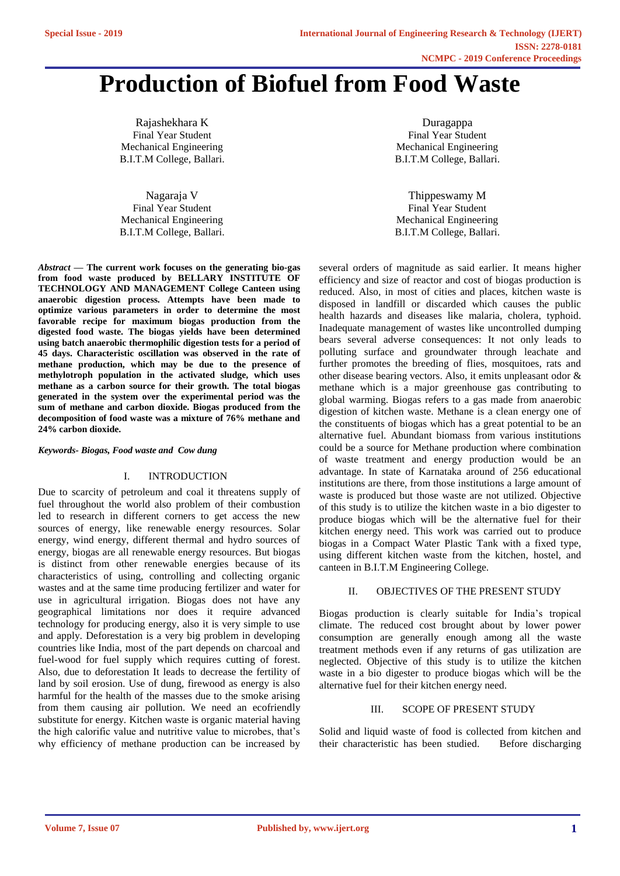# **Production of Biofuel from Food Waste**

Rajashekhara K Final Year Student Mechanical Engineering B.I.T.M College, Ballari.

Nagaraja V Final Year Student Mechanical Engineering B.I.T.M College, Ballari.

*Abstract* **— The current work focuses on the generating bio-gas from food waste produced by BELLARY INSTITUTE OF TECHNOLOGY AND MANAGEMENT College Canteen using anaerobic digestion process. Attempts have been made to optimize various parameters in order to determine the most favorable recipe for maximum biogas production from the digested food waste. The biogas yields have been determined using batch anaerobic thermophilic digestion tests for a period of 45 days. Characteristic oscillation was observed in the rate of methane production, which may be due to the presence of methylotroph population in the activated sludge, which uses methane as a carbon source for their growth. The total biogas generated in the system over the experimental period was the sum of methane and carbon dioxide. Biogas produced from the decomposition of food waste was a mixture of 76% methane and 24% carbon dioxide.**

*Keywords- Biogas, Food waste and Cow dung*

# I. INTRODUCTION

Due to scarcity of petroleum and coal it threatens supply of fuel throughout the world also problem of their combustion led to research in different corners to get access the new sources of energy, like renewable energy resources. Solar energy, wind energy, different thermal and hydro sources of energy, biogas are all renewable energy resources. But biogas is distinct from other renewable energies because of its characteristics of using, controlling and collecting organic wastes and at the same time producing fertilizer and water for use in agricultural irrigation. Biogas does not have any geographical limitations nor does it require advanced technology for producing energy, also it is very simple to use and apply. Deforestation is a very big problem in developing countries like India, most of the part depends on charcoal and fuel-wood for fuel supply which requires cutting of forest. Also, due to deforestation It leads to decrease the fertility of land by soil erosion. Use of dung, firewood as energy is also harmful for the health of the masses due to the smoke arising from them causing air pollution. We need an ecofriendly substitute for energy. Kitchen waste is organic material having the high calorific value and nutritive value to microbes, that's why efficiency of methane production can be increased by

Duragappa Final Year Student Mechanical Engineering B.I.T.M College, Ballari.

Thippeswamy M Final Year Student Mechanical Engineering B.I.T.M College, Ballari.

several orders of magnitude as said earlier. It means higher efficiency and size of reactor and cost of biogas production is reduced. Also, in most of cities and places, kitchen waste is disposed in landfill or discarded which causes the public health hazards and diseases like malaria, cholera, typhoid. Inadequate management of wastes like uncontrolled dumping bears several adverse consequences: It not only leads to polluting surface and groundwater through leachate and further promotes the breeding of flies, mosquitoes, rats and other disease bearing vectors. Also, it emits unpleasant odor & methane which is a major greenhouse gas contributing to global warming. Biogas refers to a gas made from anaerobic digestion of kitchen waste. Methane is a clean energy one of the constituents of biogas which has a great potential to be an alternative fuel. Abundant biomass from various institutions could be a source for Methane production where combination of waste treatment and energy production would be an advantage. In state of Karnataka around of 256 educational institutions are there, from those institutions a large amount of waste is produced but those waste are not utilized. Objective of this study is to utilize the kitchen waste in a bio digester to produce biogas which will be the alternative fuel for their kitchen energy need. This work was carried out to produce biogas in a Compact Water Plastic Tank with a fixed type, using different kitchen waste from the kitchen, hostel, and canteen in B.I.T.M Engineering College.

# II. OBJECTIVES OF THE PRESENT STUDY

Biogas production is clearly suitable for India's tropical climate. The reduced cost brought about by lower power consumption are generally enough among all the waste treatment methods even if any returns of gas utilization are neglected. Objective of this study is to utilize the kitchen waste in a bio digester to produce biogas which will be the alternative fuel for their kitchen energy need.

# III. SCOPE OF PRESENT STUDY

Solid and liquid waste of food is collected from kitchen and their characteristic has been studied. Before discharging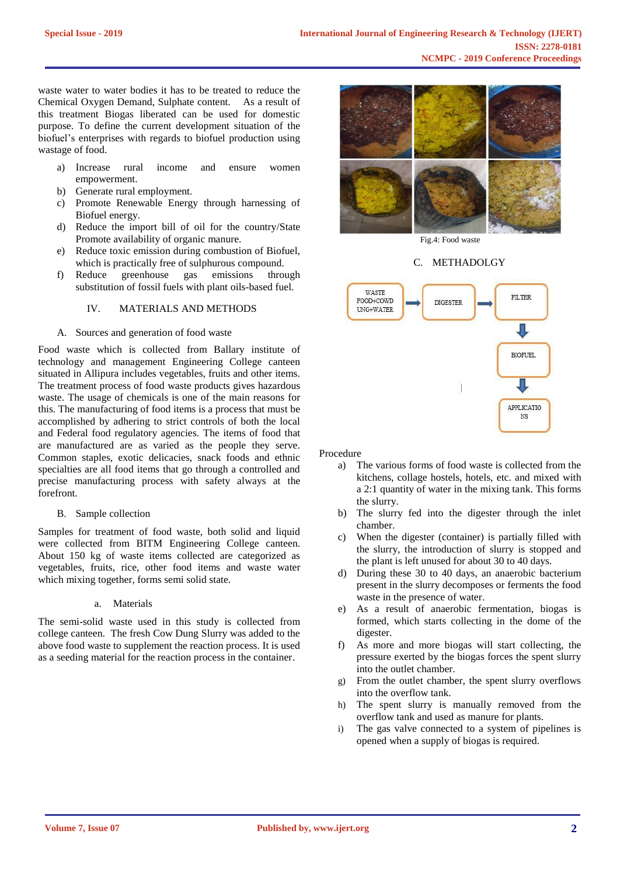waste water to water bodies it has to be treated to reduce the Chemical Oxygen Demand, Sulphate content. As a result of this treatment Biogas liberated can be used for domestic purpose. To define the current development situation of the biofuel's enterprises with regards to biofuel production using wastage of food.

- a) Increase rural income and ensure women empowerment.
- b) Generate rural employment.
- c) Promote Renewable Energy through harnessing of Biofuel energy.
- d) Reduce the import bill of oil for the country/State Promote availability of organic manure.
- e) Reduce toxic emission during combustion of Biofuel, which is practically free of sulphurous compound.
- f) Reduce greenhouse gas emissions through substitution of fossil fuels with plant oils-based fuel.

# IV. MATERIALS AND METHODS

# A. Sources and generation of food waste

Food waste which is collected from Ballary institute of technology and management Engineering College canteen situated in Allipura includes vegetables, fruits and other items. The treatment process of food waste products gives hazardous waste. The usage of chemicals is one of the main reasons for this. The manufacturing of food items is a process that must be accomplished by adhering to strict controls of both the local and Federal food regulatory agencies. The items of food that are manufactured are as varied as the people they serve. Common staples, exotic delicacies, snack foods and ethnic specialties are all food items that go through a controlled and precise manufacturing process with safety always at the forefront.

#### B. Sample collection

Samples for treatment of food waste, both solid and liquid were collected from BITM Engineering College canteen. About 150 kg of waste items collected are categorized as vegetables, fruits, rice, other food items and waste water which mixing together, forms semi solid state.

# a. Materials

The semi-solid waste used in this study is collected from college canteen. The fresh Cow Dung Slurry was added to the above food waste to supplement the reaction process. It is used as a seeding material for the reaction process in the container.



Fig.4: Food waste

#### C. METHADOLGY



Procedure

- a) The various forms of food waste is collected from the kitchens, collage hostels, hotels, etc. and mixed with a 2:1 quantity of water in the mixing tank. This forms the slurry.
- b) The slurry fed into the digester through the inlet chamber.
- c) When the digester (container) is partially filled with the slurry, the introduction of slurry is stopped and the plant is left unused for about 30 to 40 days.
- d) During these 30 to 40 days, an anaerobic bacterium present in the slurry decomposes or ferments the food waste in the presence of water.
- e) As a result of anaerobic fermentation, biogas is formed, which starts collecting in the dome of the digester.
- f) As more and more biogas will start collecting, the pressure exerted by the biogas forces the spent slurry into the outlet chamber.
- g) From the outlet chamber, the spent slurry overflows into the overflow tank.
- h) The spent slurry is manually removed from the overflow tank and used as manure for plants.
- i) The gas valve connected to a system of pipelines is opened when a supply of biogas is required.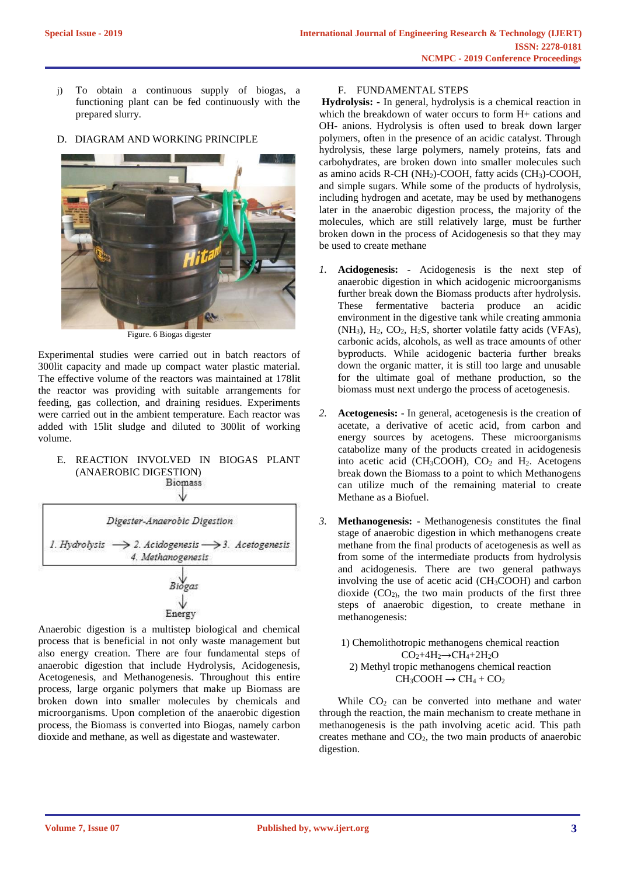- j) To obtain a continuous supply of biogas, a functioning plant can be fed continuously with the prepared slurry.
- D. DIAGRAM AND WORKING PRINCIPLE



Figure. 6 Biogas digester

Experimental studies were carried out in batch reactors of 300lit capacity and made up compact water plastic material. The effective volume of the reactors was maintained at 178lit the reactor was providing with suitable arrangements for feeding, gas collection, and draining residues. Experiments were carried out in the ambient temperature. Each reactor was added with 15lit sludge and diluted to 300lit of working volume.

# E. REACTION INVOLVED IN BIOGAS PLANT (ANAEROBIC DIGESTION)



Anaerobic digestion is a multistep biological and chemical process that is beneficial in not only waste management but also energy creation. There are four fundamental steps of anaerobic digestion that include Hydrolysis, Acidogenesis, Acetogenesis, and Methanogenesis. Throughout this entire process, large organic polymers that make up Biomass are broken down into smaller molecules by chemicals and microorganisms. Upon completion of the anaerobic digestion process, the Biomass is converted into Biogas, namely carbon dioxide and methane, as well as digestate and wastewater.

# F. FUNDAMENTAL STEPS

**Hydrolysis: -** In general, hydrolysis is a chemical reaction in which the breakdown of water occurs to form H+ cations and OH- anions. Hydrolysis is often used to break down larger polymers, often in the presence of an acidic catalyst. Through hydrolysis, these large polymers, namely proteins, fats and carbohydrates, are broken down into smaller molecules such as amino acids R-CH (NH2)-COOH, fatty acids (CH3)-COOH, and simple sugars. While some of the products of hydrolysis, including hydrogen and acetate, may be used by methanogens later in the anaerobic digestion process, the majority of the molecules, which are still relatively large, must be further broken down in the process of Acidogenesis so that they may be used to create methane

- *1.* **Acidogenesis: -** Acidogenesis is the next step of anaerobic digestion in which acidogenic microorganisms further break down the Biomass products after hydrolysis. These fermentative bacteria produce an acidic environment in the digestive tank while creating ammonia  $(NH_3)$ ,  $H_2$ ,  $CO_2$ ,  $H_2S$ , shorter volatile fatty acids (VFAs), carbonic acids, alcohols, as well as trace amounts of other byproducts. While acidogenic bacteria further breaks down the organic matter, it is still too large and unusable for the ultimate goal of methane production, so the biomass must next undergo the process of acetogenesis.
- *2.* **Acetogenesis:** In general, acetogenesis is the creation of acetate, a derivative of acetic acid, from carbon and energy sources by acetogens. These microorganisms catabolize many of the products created in acidogenesis into acetic acid (CH<sub>3</sub>COOH),  $CO<sub>2</sub>$  and H<sub>2</sub>. Acetogens break down the Biomass to a point to which Methanogens can utilize much of the remaining material to create Methane as a Biofuel.
- *3.* **Methanogenesis:** *-* Methanogenesis constitutes the final stage of anaerobic digestion in which methanogens create methane from the final products of acetogenesis as well as from some of the intermediate products from hydrolysis and acidogenesis. There are two general pathways involving the use of acetic acid (CH3COOH) and carbon dioxide  $(CO<sub>2</sub>)$ , the two main products of the first three steps of anaerobic digestion, to create methane in methanogenesis:

1) Chemolithotropic methanogens chemical reaction  $CO<sub>2</sub>+4H<sub>2</sub> \rightarrow CH<sub>4</sub>+2H<sub>2</sub>O$ 2) Methyl tropic methanogens chemical reaction  $CH<sub>3</sub>COOH \rightarrow CH<sub>4</sub> + CO<sub>2</sub>$ 

While  $CO<sub>2</sub>$  can be converted into methane and water through the reaction, the main mechanism to create methane in methanogenesis is the path involving acetic acid. This path creates methane and  $CO<sub>2</sub>$ , the two main products of anaerobic digestion.